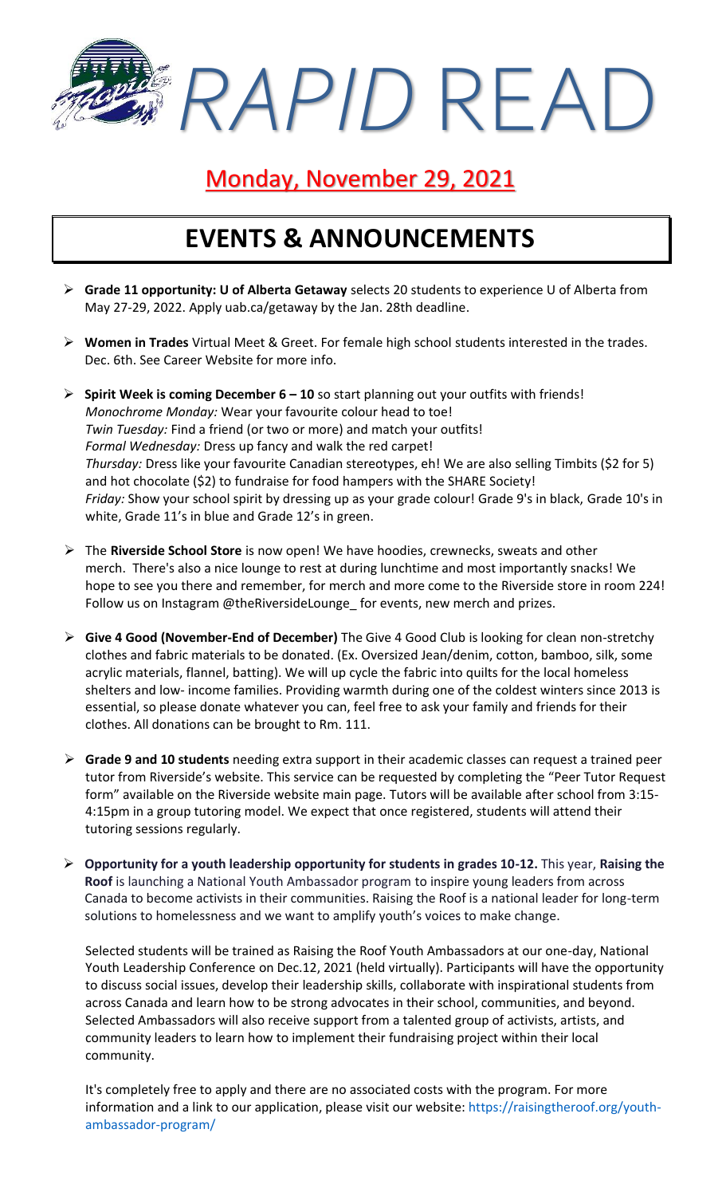*RAPID* READ

### Monday, November 29, 2021

### **EVENTS & ANNOUNCEMENTS**

- ➢ **Grade 11 opportunity: U of Alberta Getaway** selects 20 students to experience U of Alberta from May 27-29, 2022. Apply uab.ca/getaway by the Jan. 28th deadline.
- ➢ **Women in Trades** Virtual Meet & Greet. For female high school students interested in the trades. Dec. 6th. See Career Website for more info.
- ➢ **Spirit Week is coming December 6 – 10** so start planning out your outfits with friends! *Monochrome Monday:* Wear your favourite colour head to toe! *Twin Tuesday:* Find a friend (or two or more) and match your outfits! *Formal Wednesday:* Dress up fancy and walk the red carpet! *Thursday:* Dress like your favourite Canadian stereotypes, eh! We are also selling Timbits (\$2 for 5) and hot chocolate (\$2) to fundraise for food hampers with the SHARE Society! *Friday:* Show your school spirit by dressing up as your grade colour! Grade 9's in black, Grade 10's in white, Grade 11's in blue and Grade 12's in green.
- ➢ The **Riverside School Store** is now open! We have hoodies, crewnecks, sweats and other merch. There's also a nice lounge to rest at during lunchtime and most importantly snacks! We hope to see you there and remember, for merch and more come to the Riverside store in room 224! Follow us on Instagram @theRiversideLounge\_ for events, new merch and prizes.
- ➢ **Give 4 Good (November-End of December)** The Give 4 Good Club is looking for clean non-stretchy clothes and fabric materials to be donated. (Ex. Oversized Jean/denim, cotton, bamboo, silk, some acrylic materials, flannel, batting). We will up cycle the fabric into quilts for the local homeless shelters and low- income families. Providing warmth during one of the coldest winters since 2013 is essential, so please donate whatever you can, feel free to ask your family and friends for their clothes. All donations can be brought to Rm. 111.
- ➢ **Grade 9 and 10 students** needing extra support in their academic classes can request a trained peer tutor from Riverside's website. This service can be requested by completing the "Peer Tutor Request form" available on the Riverside website main page. Tutors will be available after school from 3:15- 4:15pm in a group tutoring model. We expect that once registered, students will attend their tutoring sessions regularly.
- ➢ **Opportunity for a youth leadership opportunity for students in grades 10-12.** This year, **Raising the Roof** is launching a National Youth Ambassador program to inspire young leaders from across Canada to become activists in their communities. Raising the Roof is a national leader for long-term solutions to homelessness and we want to amplify youth's voices to make change.

Selected students will be trained as Raising the Roof Youth Ambassadors at our one-day, National Youth Leadership Conference on Dec.12, 2021 (held virtually). Participants will have the opportunity to discuss social issues, develop their leadership skills, collaborate with inspirational students from across Canada and learn how to be strong advocates in their school, communities, and beyond. Selected Ambassadors will also receive support from a talented group of activists, artists, and community leaders to learn how to implement their fundraising project within their local community.

It's completely free to apply and there are no associated costs with the program. For more information and a link to our application, please visit our website: [https://raisingtheroof.org/youth](https://raisingtheroof.org/youth-ambassador-program/)[ambassador-program/](https://raisingtheroof.org/youth-ambassador-program/)